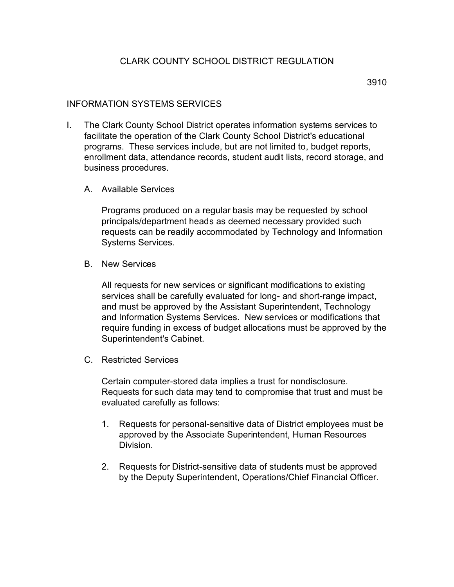## INFORMATION SYSTEMS SERVICES

- I. The Clark County School District operates information systems services to facilitate the operation of the Clark County School District's educational programs. These services include, but are not limited to, budget reports, enrollment data, attendance records, student audit lists, record storage, and business procedures.
	- A. Available Services

Programs produced on a regular basis may be requested by school principals/department heads as deemed necessary provided such requests can be readily accommodated by Technology and Information Systems Services.

B. New Services

All requests for new services or significant modifications to existing services shall be carefully evaluated for long- and short-range impact, and must be approved by the Assistant Superintendent, Technology and Information Systems Services. New services or modifications that require funding in excess of budget allocations must be approved by the Superintendent's Cabinet.

C. Restricted Services

Certain computer-stored data implies a trust for nondisclosure. Requests for such data may tend to compromise that trust and must be evaluated carefully as follows:

- 1. Requests for personal-sensitive data of District employees must be approved by the Associate Superintendent, Human Resources Division.
- 2. Requests for District-sensitive data of students must be approved by the Deputy Superintendent, Operations/Chief Financial Officer.